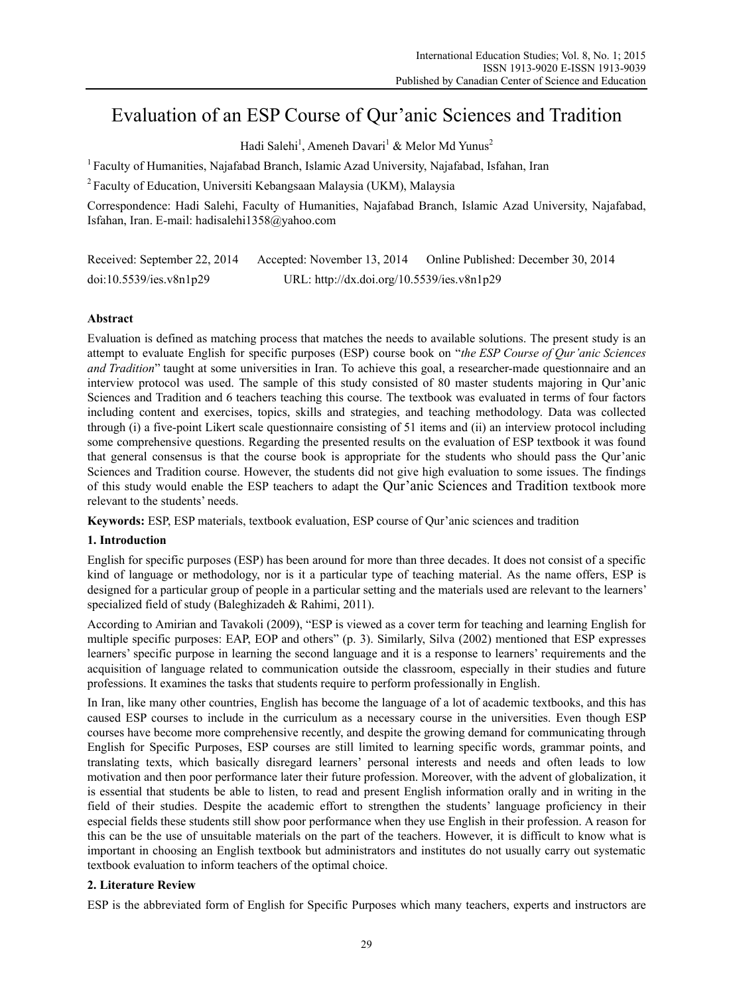# Evaluation of an ESP Course of Qur'anic Sciences and Tradition

Hadi Salehi<sup>1</sup>, Ameneh Davari<sup>1</sup> & Melor Md Yunus<sup>2</sup>

<sup>1</sup> Faculty of Humanities, Najafabad Branch, Islamic Azad University, Najafabad, Isfahan, Iran

2 Faculty of Education, Universiti Kebangsaan Malaysia (UKM), Malaysia

Correspondence: Hadi Salehi, Faculty of Humanities, Najafabad Branch, Islamic Azad University, Najafabad, Isfahan, Iran. E-mail: hadisalehi1358@yahoo.com

| Received: September 22, 2014 | Accepted: November 13, 2014                | Online Published: December 30, 2014 |
|------------------------------|--------------------------------------------|-------------------------------------|
| doi:10.5539/ies.v8n1p29      | URL: http://dx.doi.org/10.5539/ies.v8n1p29 |                                     |

## **Abstract**

Evaluation is defined as matching process that matches the needs to available solutions. The present study is an attempt to evaluate English for specific purposes (ESP) course book on "*the ESP Course of Qur'anic Sciences and Tradition*" taught at some universities in Iran. To achieve this goal, a researcher-made questionnaire and an interview protocol was used. The sample of this study consisted of 80 master students majoring in Qur'anic Sciences and Tradition and 6 teachers teaching this course. The textbook was evaluated in terms of four factors including content and exercises, topics, skills and strategies, and teaching methodology. Data was collected through (i) a five-point Likert scale questionnaire consisting of 51 items and (ii) an interview protocol including some comprehensive questions. Regarding the presented results on the evaluation of ESP textbook it was found that general consensus is that the course book is appropriate for the students who should pass the Qur'anic Sciences and Tradition course. However, the students did not give high evaluation to some issues. The findings of this study would enable the ESP teachers to adapt the Qur'anic Sciences and Tradition textbook more relevant to the students' needs.

**Keywords:** ESP, ESP materials, textbook evaluation, ESP course of Qur'anic sciences and tradition

## **1. Introduction**

English for specific purposes (ESP) has been around for more than three decades. It does not consist of a specific kind of language or methodology, nor is it a particular type of teaching material. As the name offers, ESP is designed for a particular group of people in a particular setting and the materials used are relevant to the learners' specialized field of study (Baleghizadeh & Rahimi, 2011).

According to Amirian and Tavakoli (2009), "ESP is viewed as a cover term for teaching and learning English for multiple specific purposes: EAP, EOP and others" (p. 3). Similarly, Silva (2002) mentioned that ESP expresses learners' specific purpose in learning the second language and it is a response to learners' requirements and the acquisition of language related to communication outside the classroom, especially in their studies and future professions. It examines the tasks that students require to perform professionally in English.

In Iran, like many other countries, English has become the language of a lot of academic textbooks, and this has caused ESP courses to include in the curriculum as a necessary course in the universities. Even though ESP courses have become more comprehensive recently, and despite the growing demand for communicating through English for Specific Purposes, ESP courses are still limited to learning specific words, grammar points, and translating texts, which basically disregard learners' personal interests and needs and often leads to low motivation and then poor performance later their future profession. Moreover, with the advent of globalization, it is essential that students be able to listen, to read and present English information orally and in writing in the field of their studies. Despite the academic effort to strengthen the students' language proficiency in their especial fields these students still show poor performance when they use English in their profession. A reason for this can be the use of unsuitable materials on the part of the teachers. However, it is difficult to know what is important in choosing an English textbook but administrators and institutes do not usually carry out systematic textbook evaluation to inform teachers of the optimal choice.

## **2. Literature Review**

ESP is the abbreviated form of English for Specific Purposes which many teachers, experts and instructors are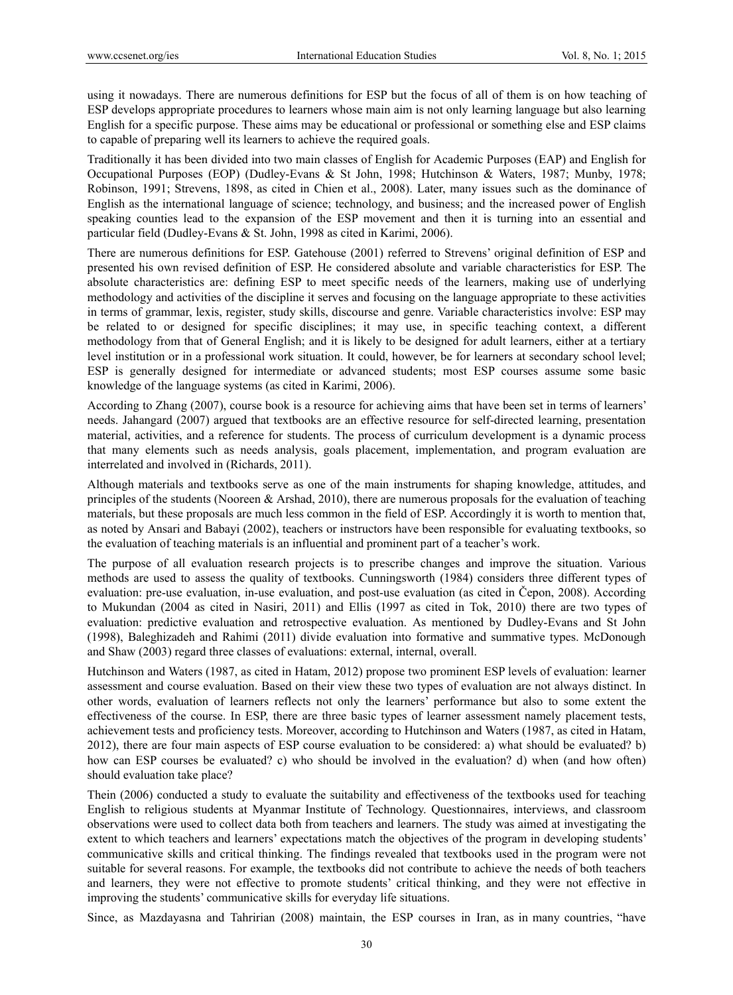using it nowadays. There are numerous definitions for ESP but the focus of all of them is on how teaching of ESP develops appropriate procedures to learners whose main aim is not only learning language but also learning English for a specific purpose. These aims may be educational or professional or something else and ESP claims to capable of preparing well its learners to achieve the required goals.

Traditionally it has been divided into two main classes of English for Academic Purposes (EAP) and English for Occupational Purposes (EOP) (Dudley-Evans & St John, 1998; Hutchinson & Waters, 1987; Munby, 1978; Robinson, 1991; Strevens, 1898, as cited in Chien et al., 2008). Later, many issues such as the dominance of English as the international language of science; technology, and business; and the increased power of English speaking counties lead to the expansion of the ESP movement and then it is turning into an essential and particular field (Dudley-Evans & St. John, 1998 as cited in Karimi, 2006).

There are numerous definitions for ESP. Gatehouse (2001) referred to Strevens' original definition of ESP and presented his own revised definition of ESP. He considered absolute and variable characteristics for ESP. The absolute characteristics are: defining ESP to meet specific needs of the learners, making use of underlying methodology and activities of the discipline it serves and focusing on the language appropriate to these activities in terms of grammar, lexis, register, study skills, discourse and genre. Variable characteristics involve: ESP may be related to or designed for specific disciplines; it may use, in specific teaching context, a different methodology from that of General English; and it is likely to be designed for adult learners, either at a tertiary level institution or in a professional work situation. It could, however, be for learners at secondary school level; ESP is generally designed for intermediate or advanced students; most ESP courses assume some basic knowledge of the language systems (as cited in Karimi, 2006).

According to Zhang (2007), course book is a resource for achieving aims that have been set in terms of learners' needs. Jahangard (2007) argued that textbooks are an effective resource for self-directed learning, presentation material, activities, and a reference for students. The process of curriculum development is a dynamic process that many elements such as needs analysis, goals placement, implementation, and program evaluation are interrelated and involved in (Richards, 2011).

Although materials and textbooks serve as one of the main instruments for shaping knowledge, attitudes, and principles of the students (Nooreen & Arshad, 2010), there are numerous proposals for the evaluation of teaching materials, but these proposals are much less common in the field of ESP. Accordingly it is worth to mention that, as noted by Ansari and Babayi (2002), teachers or instructors have been responsible for evaluating textbooks, so the evaluation of teaching materials is an influential and prominent part of a teacher's work.

The purpose of all evaluation research projects is to prescribe changes and improve the situation. Various methods are used to assess the quality of textbooks. Cunningsworth (1984) considers three different types of evaluation: pre-use evaluation, in-use evaluation, and post-use evaluation (as cited in Čepon, 2008). According to Mukundan (2004 as cited in Nasiri, 2011) and Ellis (1997 as cited in Tok, 2010) there are two types of evaluation: predictive evaluation and retrospective evaluation. As mentioned by Dudley-Evans and St John (1998), Baleghizadeh and Rahimi (2011) divide evaluation into formative and summative types. McDonough and Shaw (2003) regard three classes of evaluations: external, internal, overall.

Hutchinson and Waters (1987, as cited in Hatam, 2012) propose two prominent ESP levels of evaluation: learner assessment and course evaluation. Based on their view these two types of evaluation are not always distinct. In other words, evaluation of learners reflects not only the learners' performance but also to some extent the effectiveness of the course. In ESP, there are three basic types of learner assessment namely placement tests, achievement tests and proficiency tests. Moreover, according to Hutchinson and Waters (1987, as cited in Hatam, 2012), there are four main aspects of ESP course evaluation to be considered: a) what should be evaluated? b) how can ESP courses be evaluated? c) who should be involved in the evaluation? d) when (and how often) should evaluation take place?

Thein (2006) conducted a study to evaluate the suitability and effectiveness of the textbooks used for teaching English to religious students at Myanmar Institute of Technology. Questionnaires, interviews, and classroom observations were used to collect data both from teachers and learners. The study was aimed at investigating the extent to which teachers and learners' expectations match the objectives of the program in developing students' communicative skills and critical thinking. The findings revealed that textbooks used in the program were not suitable for several reasons. For example, the textbooks did not contribute to achieve the needs of both teachers and learners, they were not effective to promote students' critical thinking, and they were not effective in improving the students' communicative skills for everyday life situations.

Since, as Mazdayasna and Tahririan (2008) maintain, the ESP courses in Iran, as in many countries, "have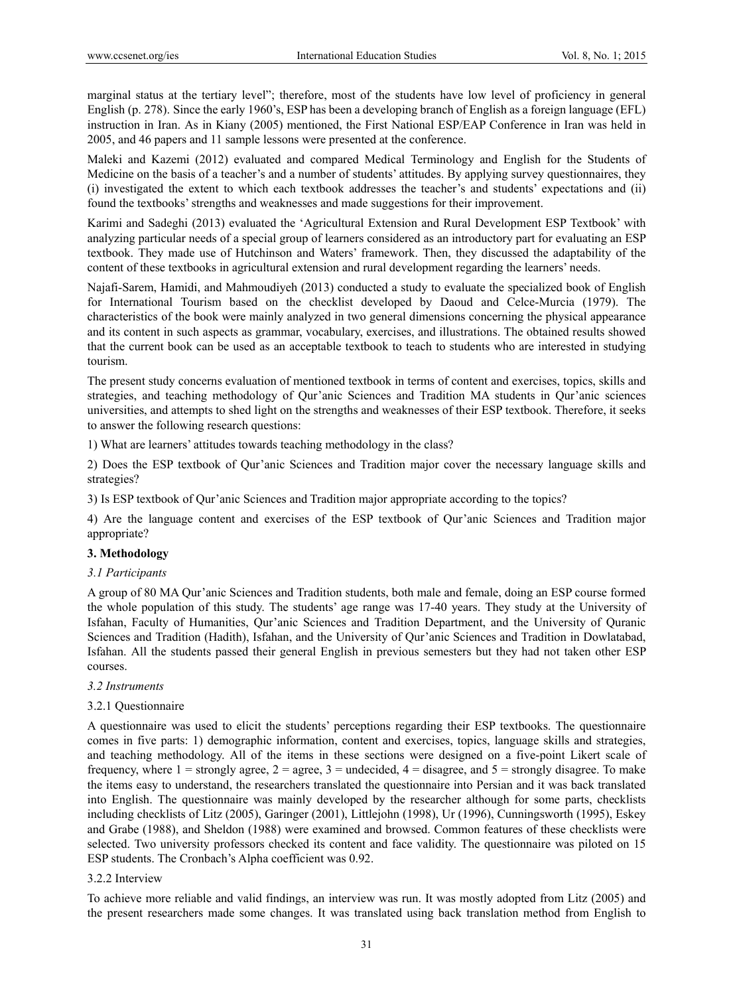marginal status at the tertiary level"; therefore, most of the students have low level of proficiency in general English (p. 278). Since the early 1960's, ESP has been a developing branch of English as a foreign language (EFL) instruction in Iran. As in Kiany (2005) mentioned, the First National ESP/EAP Conference in Iran was held in 2005, and 46 papers and 11 sample lessons were presented at the conference.

Maleki and Kazemi (2012) evaluated and compared Medical Terminology and English for the Students of Medicine on the basis of a teacher's and a number of students' attitudes. By applying survey questionnaires, they (i) investigated the extent to which each textbook addresses the teacher's and students' expectations and (ii) found the textbooks' strengths and weaknesses and made suggestions for their improvement.

Karimi and Sadeghi (2013) evaluated the 'Agricultural Extension and Rural Development ESP Textbook' with analyzing particular needs of a special group of learners considered as an introductory part for evaluating an ESP textbook. They made use of Hutchinson and Waters' framework. Then, they discussed the adaptability of the content of these textbooks in agricultural extension and rural development regarding the learners' needs.

Najafi-Sarem, Hamidi, and Mahmoudiyeh (2013) conducted a study to evaluate the specialized book of English for International Tourism based on the checklist developed by Daoud and Celce-Murcia (1979). The characteristics of the book were mainly analyzed in two general dimensions concerning the physical appearance and its content in such aspects as grammar, vocabulary, exercises, and illustrations. The obtained results showed that the current book can be used as an acceptable textbook to teach to students who are interested in studying tourism.

The present study concerns evaluation of mentioned textbook in terms of content and exercises, topics, skills and strategies, and teaching methodology of Qur'anic Sciences and Tradition MA students in Qur'anic sciences universities, and attempts to shed light on the strengths and weaknesses of their ESP textbook. Therefore, it seeks to answer the following research questions:

1) What are learners' attitudes towards teaching methodology in the class?

2) Does the ESP textbook of Qur'anic Sciences and Tradition major cover the necessary language skills and strategies?

3) Is ESP textbook of Qur'anic Sciences and Tradition major appropriate according to the topics?

4) Are the language content and exercises of the ESP textbook of Qur'anic Sciences and Tradition major appropriate?

## **3. Methodology**

#### *3.1 Participants*

A group of 80 MA Qur'anic Sciences and Tradition students, both male and female, doing an ESP course formed the whole population of this study. The students' age range was 17-40 years. They study at the University of Isfahan, Faculty of Humanities, Qur'anic Sciences and Tradition Department, and the University of Quranic Sciences and Tradition (Hadith), Isfahan, and the University of Qur'anic Sciences and Tradition in Dowlatabad, Isfahan. All the students passed their general English in previous semesters but they had not taken other ESP courses.

#### *3.2 Instruments*

#### 3.2.1 Questionnaire

A questionnaire was used to elicit the students' perceptions regarding their ESP textbooks. The questionnaire comes in five parts: 1) demographic information, content and exercises, topics, language skills and strategies, and teaching methodology. All of the items in these sections were designed on a five-point Likert scale of frequency, where  $1 =$  strongly agree,  $2 =$  agree,  $3 =$  undecided,  $4 =$  disagree, and  $5 =$  strongly disagree. To make the items easy to understand, the researchers translated the questionnaire into Persian and it was back translated into English. The questionnaire was mainly developed by the researcher although for some parts, checklists including checklists of Litz (2005), Garinger (2001), Littlejohn (1998), Ur (1996), Cunningsworth (1995), Eskey and Grabe (1988), and Sheldon (1988) were examined and browsed. Common features of these checklists were selected. Two university professors checked its content and face validity. The questionnaire was piloted on 15 ESP students. The Cronbach's Alpha coefficient was 0.92.

#### 3.2.2 Interview

To achieve more reliable and valid findings, an interview was run. It was mostly adopted from Litz (2005) and the present researchers made some changes. It was translated using back translation method from English to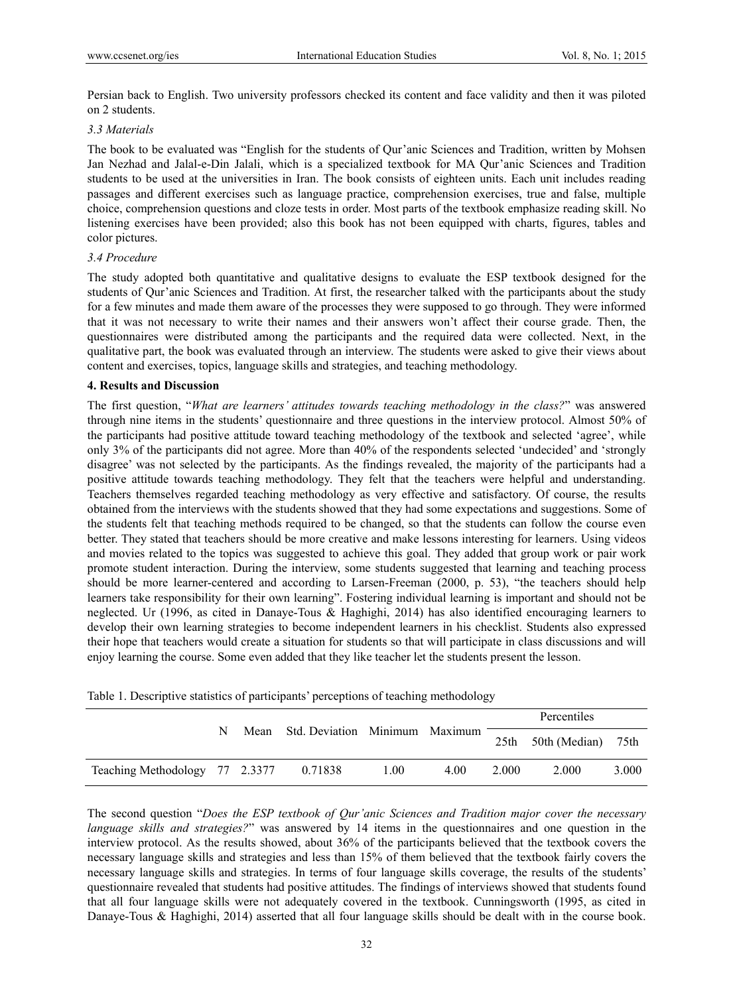Persian back to English. Two university professors checked its content and face validity and then it was piloted on 2 students.

### *3.3 Materials*

The book to be evaluated was "English for the students of Qur'anic Sciences and Tradition, written by Mohsen Jan Nezhad and Jalal-e-Din Jalali, which is a specialized textbook for MA Qur'anic Sciences and Tradition students to be used at the universities in Iran. The book consists of eighteen units. Each unit includes reading passages and different exercises such as language practice, comprehension exercises, true and false, multiple choice, comprehension questions and cloze tests in order. Most parts of the textbook emphasize reading skill. No listening exercises have been provided; also this book has not been equipped with charts, figures, tables and color pictures.

## *3.4 Procedure*

The study adopted both quantitative and qualitative designs to evaluate the ESP textbook designed for the students of Qur'anic Sciences and Tradition. At first, the researcher talked with the participants about the study for a few minutes and made them aware of the processes they were supposed to go through. They were informed that it was not necessary to write their names and their answers won't affect their course grade. Then, the questionnaires were distributed among the participants and the required data were collected. Next, in the qualitative part, the book was evaluated through an interview. The students were asked to give their views about content and exercises, topics, language skills and strategies, and teaching methodology.

#### **4. Results and Discussion**

The first question, "*What are learners' attitudes towards teaching methodology in the class?*" was answered through nine items in the students' questionnaire and three questions in the interview protocol. Almost 50% of the participants had positive attitude toward teaching methodology of the textbook and selected 'agree', while only 3% of the participants did not agree. More than 40% of the respondents selected 'undecided' and 'strongly disagree' was not selected by the participants. As the findings revealed, the majority of the participants had a positive attitude towards teaching methodology. They felt that the teachers were helpful and understanding. Teachers themselves regarded teaching methodology as very effective and satisfactory. Of course, the results obtained from the interviews with the students showed that they had some expectations and suggestions. Some of the students felt that teaching methods required to be changed, so that the students can follow the course even better. They stated that teachers should be more creative and make lessons interesting for learners. Using videos and movies related to the topics was suggested to achieve this goal. They added that group work or pair work promote student interaction. During the interview, some students suggested that learning and teaching process should be more learner-centered and according to Larsen-Freeman (2000, p. 53), "the teachers should help learners take responsibility for their own learning". Fostering individual learning is important and should not be neglected. Ur (1996, as cited in Danaye-Tous & Haghighi, 2014) has also identified encouraging learners to develop their own learning strategies to become independent learners in his checklist. Students also expressed their hope that teachers would create a situation for students so that will participate in class discussions and will enjoy learning the course. Some even added that they like teacher let the students present the lesson.

|                                |   |      |                                |      |      | Percentiles |               |       |  |
|--------------------------------|---|------|--------------------------------|------|------|-------------|---------------|-------|--|
|                                | N | Mean | Std. Deviation Minimum Maximum |      |      | 25th        | 50th (Median) | 75th  |  |
| Teaching Methodology 77 2.3377 |   |      | 0.71838                        | 00.1 | 4.00 | 2.000       | 2.000         | 3.000 |  |

Table 1. Descriptive statistics of participants' perceptions of teaching methodology

The second question "*Does the ESP textbook of Qur'anic Sciences and Tradition major cover the necessary language skills and strategies?*" was answered by 14 items in the questionnaires and one question in the interview protocol. As the results showed, about 36% of the participants believed that the textbook covers the necessary language skills and strategies and less than 15% of them believed that the textbook fairly covers the necessary language skills and strategies. In terms of four language skills coverage, the results of the students' questionnaire revealed that students had positive attitudes. The findings of interviews showed that students found that all four language skills were not adequately covered in the textbook. Cunningsworth (1995, as cited in Danaye-Tous & Haghighi, 2014) asserted that all four language skills should be dealt with in the course book.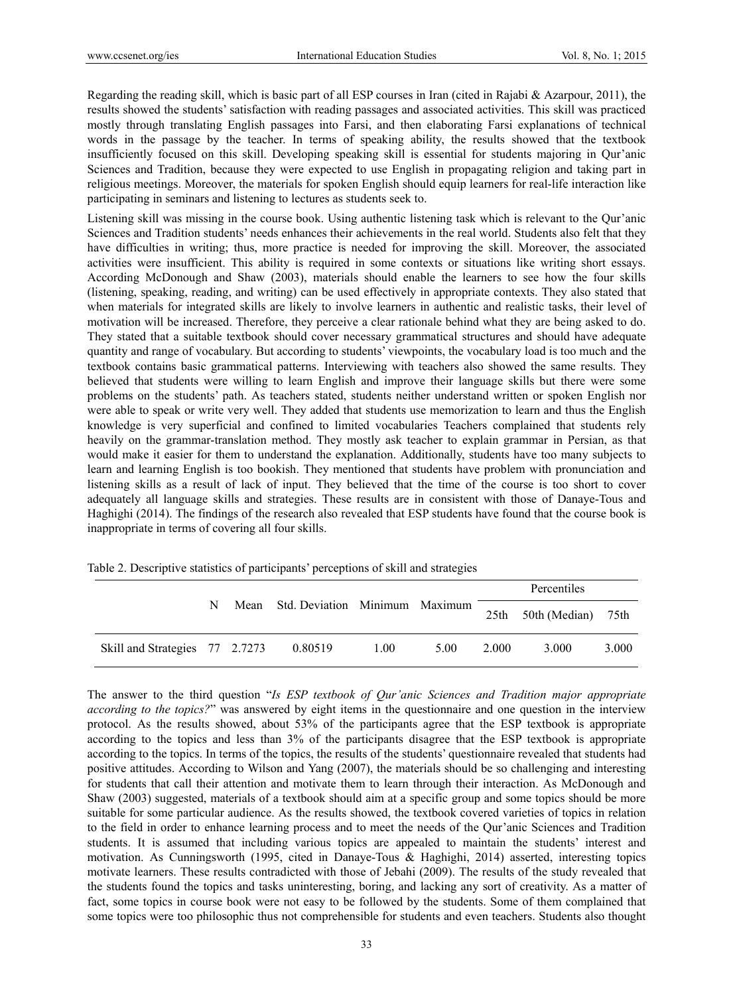Regarding the reading skill, which is basic part of all ESP courses in Iran (cited in Rajabi & Azarpour, 2011), the results showed the students' satisfaction with reading passages and associated activities. This skill was practiced mostly through translating English passages into Farsi, and then elaborating Farsi explanations of technical words in the passage by the teacher. In terms of speaking ability, the results showed that the textbook insufficiently focused on this skill. Developing speaking skill is essential for students majoring in Qur'anic Sciences and Tradition, because they were expected to use English in propagating religion and taking part in religious meetings. Moreover, the materials for spoken English should equip learners for real-life interaction like participating in seminars and listening to lectures as students seek to.

Listening skill was missing in the course book. Using authentic listening task which is relevant to the Qur'anic Sciences and Tradition students' needs enhances their achievements in the real world. Students also felt that they have difficulties in writing; thus, more practice is needed for improving the skill. Moreover, the associated activities were insufficient. This ability is required in some contexts or situations like writing short essays. According McDonough and Shaw (2003), materials should enable the learners to see how the four skills (listening, speaking, reading, and writing) can be used effectively in appropriate contexts. They also stated that when materials for integrated skills are likely to involve learners in authentic and realistic tasks, their level of motivation will be increased. Therefore, they perceive a clear rationale behind what they are being asked to do. They stated that a suitable textbook should cover necessary grammatical structures and should have adequate quantity and range of vocabulary. But according to students' viewpoints, the vocabulary load is too much and the textbook contains basic grammatical patterns. Interviewing with teachers also showed the same results. They believed that students were willing to learn English and improve their language skills but there were some problems on the students' path. As teachers stated, students neither understand written or spoken English nor were able to speak or write very well. They added that students use memorization to learn and thus the English knowledge is very superficial and confined to limited vocabularies Teachers complained that students rely heavily on the grammar-translation method. They mostly ask teacher to explain grammar in Persian, as that would make it easier for them to understand the explanation. Additionally, students have too many subjects to learn and learning English is too bookish. They mentioned that students have problem with pronunciation and listening skills as a result of lack of input. They believed that the time of the course is too short to cover adequately all language skills and strategies. These results are in consistent with those of Danaye-Tous and Haghighi (2014). The findings of the research also revealed that ESP students have found that the course book is inappropriate in terms of covering all four skills.

|                                |  |                                     |      |      |       | Percentiles        |        |  |
|--------------------------------|--|-------------------------------------|------|------|-------|--------------------|--------|--|
|                                |  | Mean Std. Deviation Minimum Maximum |      |      |       | 25th 50th (Median) | – 75th |  |
| Skill and Strategies 77 2.7273 |  | 0.80519                             | 1.00 | 5.00 | 2.000 | 3.000              | 3.000  |  |

Table 2. Descriptive statistics of participants' perceptions of skill and strategies

The answer to the third question "*Is ESP textbook of Qur'anic Sciences and Tradition major appropriate according to the topics?*" was answered by eight items in the questionnaire and one question in the interview protocol. As the results showed, about 53% of the participants agree that the ESP textbook is appropriate according to the topics and less than 3% of the participants disagree that the ESP textbook is appropriate according to the topics. In terms of the topics, the results of the students' questionnaire revealed that students had positive attitudes. According to Wilson and Yang (2007), the materials should be so challenging and interesting for students that call their attention and motivate them to learn through their interaction. As McDonough and Shaw (2003) suggested, materials of a textbook should aim at a specific group and some topics should be more suitable for some particular audience. As the results showed, the textbook covered varieties of topics in relation to the field in order to enhance learning process and to meet the needs of the Qur'anic Sciences and Tradition students. It is assumed that including various topics are appealed to maintain the students' interest and motivation. As Cunningsworth (1995, cited in Danaye-Tous & Haghighi, 2014) asserted, interesting topics motivate learners. These results contradicted with those of Jebahi (2009). The results of the study revealed that the students found the topics and tasks uninteresting, boring, and lacking any sort of creativity. As a matter of fact, some topics in course book were not easy to be followed by the students. Some of them complained that some topics were too philosophic thus not comprehensible for students and even teachers. Students also thought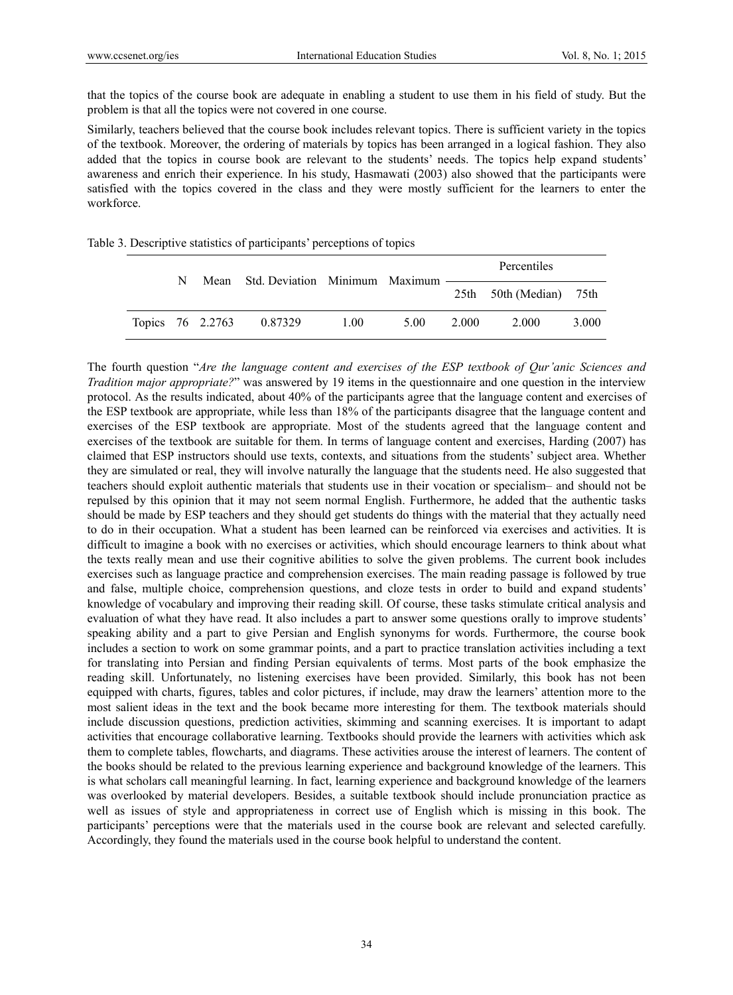that the topics of the course book are adequate in enabling a student to use them in his field of study. But the problem is that all the topics were not covered in one course.

Similarly, teachers believed that the course book includes relevant topics. There is sufficient variety in the topics of the textbook. Moreover, the ordering of materials by topics has been arranged in a logical fashion. They also added that the topics in course book are relevant to the students' needs. The topics help expand students' awareness and enrich their experience. In his study, Hasmawati (2003) also showed that the participants were satisfied with the topics covered in the class and they were mostly sufficient for the learners to enter the workforce.

|  | Mean             | Std. Deviation Minimum Maximum |      |      | Percentiles |                         |       |  |
|--|------------------|--------------------------------|------|------|-------------|-------------------------|-------|--|
|  |                  |                                |      |      |             | 25th 50th (Median) 75th |       |  |
|  | Topics 76 2.2763 | 0.87329                        | 1.00 | 5.00 | 2.000       | 2.000                   | 3.000 |  |

Table 3. Descriptive statistics of participants' perceptions of topics

The fourth question "*Are the language content and exercises of the ESP textbook of Qur'anic Sciences and Tradition major appropriate?*" was answered by 19 items in the questionnaire and one question in the interview protocol. As the results indicated, about 40% of the participants agree that the language content and exercises of the ESP textbook are appropriate, while less than 18% of the participants disagree that the language content and exercises of the ESP textbook are appropriate. Most of the students agreed that the language content and exercises of the textbook are suitable for them. In terms of language content and exercises, Harding (2007) has claimed that ESP instructors should use texts, contexts, and situations from the students' subject area. Whether they are simulated or real, they will involve naturally the language that the students need. He also suggested that teachers should exploit authentic materials that students use in their vocation or specialism– and should not be repulsed by this opinion that it may not seem normal English. Furthermore, he added that the authentic tasks should be made by ESP teachers and they should get students do things with the material that they actually need to do in their occupation. What a student has been learned can be reinforced via exercises and activities. It is difficult to imagine a book with no exercises or activities, which should encourage learners to think about what the texts really mean and use their cognitive abilities to solve the given problems. The current book includes exercises such as language practice and comprehension exercises. The main reading passage is followed by true and false, multiple choice, comprehension questions, and cloze tests in order to build and expand students' knowledge of vocabulary and improving their reading skill. Of course, these tasks stimulate critical analysis and evaluation of what they have read. It also includes a part to answer some questions orally to improve students' speaking ability and a part to give Persian and English synonyms for words. Furthermore, the course book includes a section to work on some grammar points, and a part to practice translation activities including a text for translating into Persian and finding Persian equivalents of terms. Most parts of the book emphasize the reading skill. Unfortunately, no listening exercises have been provided. Similarly, this book has not been equipped with charts, figures, tables and color pictures, if include, may draw the learners' attention more to the most salient ideas in the text and the book became more interesting for them. The textbook materials should include discussion questions, prediction activities, skimming and scanning exercises. It is important to adapt activities that encourage collaborative learning. Textbooks should provide the learners with activities which ask them to complete tables, flowcharts, and diagrams. These activities arouse the interest of learners. The content of the books should be related to the previous learning experience and background knowledge of the learners. This is what scholars call meaningful learning. In fact, learning experience and background knowledge of the learners was overlooked by material developers. Besides, a suitable textbook should include pronunciation practice as well as issues of style and appropriateness in correct use of English which is missing in this book. The participants' perceptions were that the materials used in the course book are relevant and selected carefully. Accordingly, they found the materials used in the course book helpful to understand the content.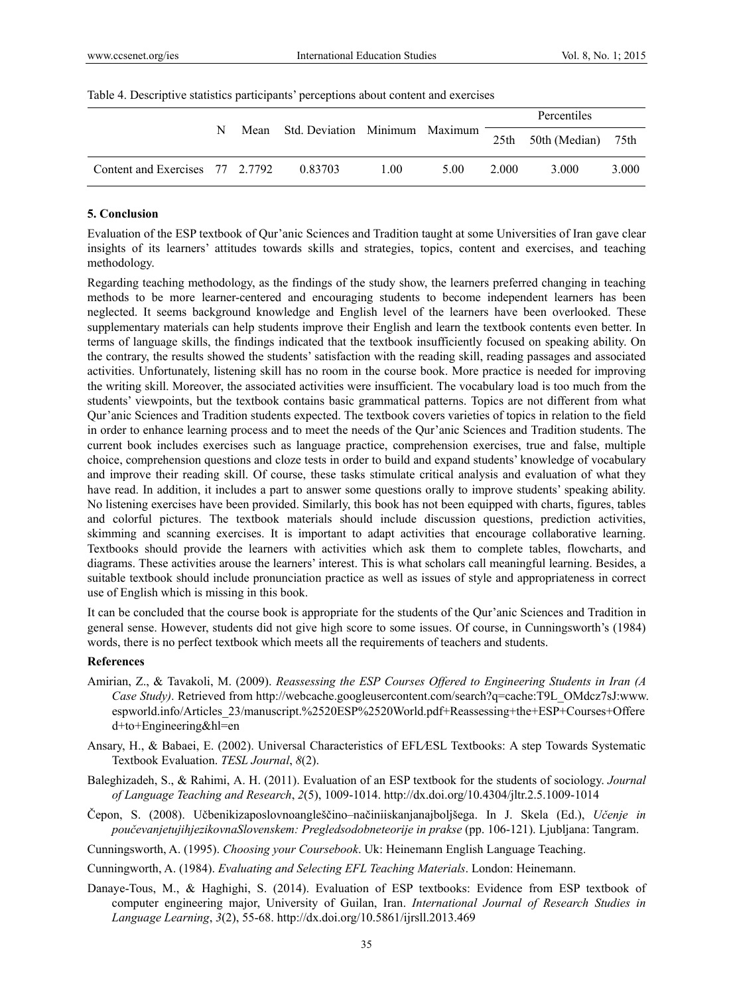|                                 | N | Mean | Std. Deviation Minimum Maximum |      |      | Percentiles |               |       |
|---------------------------------|---|------|--------------------------------|------|------|-------------|---------------|-------|
|                                 |   |      |                                |      |      | 25th        | 50th (Median) | 75th  |
| Content and Exercises 77 2.7792 |   |      | 0.83703                        | 1.00 | 5.00 | 2.000       | 3.000         | 3.000 |

#### Table 4. Descriptive statistics participants' perceptions about content and exercises

#### **5. Conclusion**

Evaluation of the ESP textbook of Qur'anic Sciences and Tradition taught at some Universities of Iran gave clear insights of its learners' attitudes towards skills and strategies, topics, content and exercises, and teaching methodology.

Regarding teaching methodology, as the findings of the study show, the learners preferred changing in teaching methods to be more learner-centered and encouraging students to become independent learners has been neglected. It seems background knowledge and English level of the learners have been overlooked. These supplementary materials can help students improve their English and learn the textbook contents even better. In terms of language skills, the findings indicated that the textbook insufficiently focused on speaking ability. On the contrary, the results showed the students' satisfaction with the reading skill, reading passages and associated activities. Unfortunately, listening skill has no room in the course book. More practice is needed for improving the writing skill. Moreover, the associated activities were insufficient. The vocabulary load is too much from the students' viewpoints, but the textbook contains basic grammatical patterns. Topics are not different from what Qur'anic Sciences and Tradition students expected. The textbook covers varieties of topics in relation to the field in order to enhance learning process and to meet the needs of the Qur'anic Sciences and Tradition students. The current book includes exercises such as language practice, comprehension exercises, true and false, multiple choice, comprehension questions and cloze tests in order to build and expand students' knowledge of vocabulary and improve their reading skill. Of course, these tasks stimulate critical analysis and evaluation of what they have read. In addition, it includes a part to answer some questions orally to improve students' speaking ability. No listening exercises have been provided. Similarly, this book has not been equipped with charts, figures, tables and colorful pictures. The textbook materials should include discussion questions, prediction activities, skimming and scanning exercises. It is important to adapt activities that encourage collaborative learning. Textbooks should provide the learners with activities which ask them to complete tables, flowcharts, and diagrams. These activities arouse the learners' interest. This is what scholars call meaningful learning. Besides, a suitable textbook should include pronunciation practice as well as issues of style and appropriateness in correct use of English which is missing in this book.

It can be concluded that the course book is appropriate for the students of the Qur'anic Sciences and Tradition in general sense. However, students did not give high score to some issues. Of course, in Cunningsworth's (1984) words, there is no perfect textbook which meets all the requirements of teachers and students.

#### **References**

- Amirian, Z., & Tavakoli, M. (2009). *Reassessing the ESP Courses Offered to Engineering Students in Iran (A Case Study)*. Retrieved from http://webcache.googleusercontent.com/search?q=cache:T9L\_OMdcz7sJ:www. espworld.info/Articles\_23/manuscript.%2520ESP%2520World.pdf+Reassessing+the+ESP+Courses+Offere d+to+Engineering&hl=en
- Ansary, H., & Babaei, E. (2002). Universal Characteristics of EFL⁄ESL Textbooks: A step Towards Systematic Textbook Evaluation. *TESL Journal*, *8*(2).
- Baleghizadeh, S., & Rahimi, A. H. (2011). Evaluation of an ESP textbook for the students of sociology. *Journal of Language Teaching and Research*, *2*(5), 1009-1014. http://dx.doi.org/10.4304/jltr.2.5.1009-1014
- Čepon, S. (2008). Učbenikizaposlovnoangleščino–načiniiskanjanajboljšega. In J. Skela (Ed.), *Učenje in poučevanjetujihjezikovnaSlovenskem: Pregledsodobneteorije in prakse* (pp. 106-121). Ljubljana: Tangram.
- Cunningsworth, A. (1995). *Choosing your Coursebook*. Uk: Heinemann English Language Teaching.
- Cunningworth, A. (1984). *Evaluating and Selecting EFL Teaching Materials*. London: Heinemann.
- Danaye-Tous, M., & Haghighi, S. (2014). Evaluation of ESP textbooks: Evidence from ESP textbook of computer engineering major, University of Guilan, Iran. *International Journal of Research Studies in Language Learning*, *3*(2), 55-68. http://dx.doi.org/10.5861/ijrsll.2013.469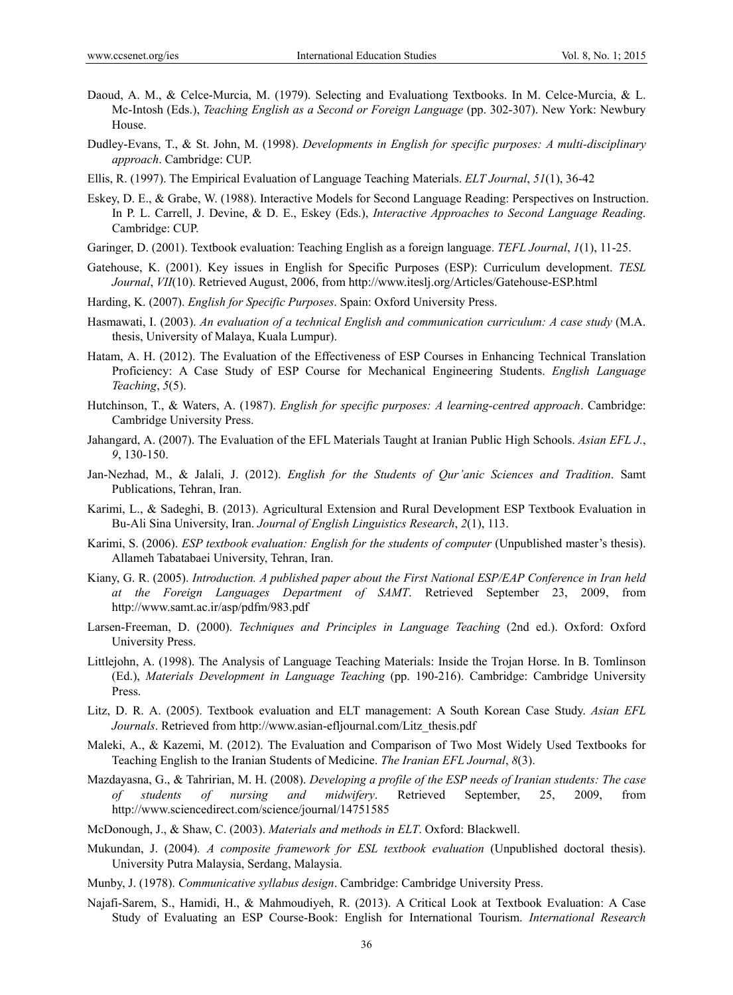- Daoud, A. M., & Celce-Murcia, M. (1979). Selecting and Evaluationg Textbooks. In M. Celce-Murcia, & L. Mc-Intosh (Eds.), *Teaching English as a Second or Foreign Language* (pp. 302-307). New York: Newbury House.
- Dudley-Evans, T., & St. John, M. (1998). *Developments in English for specific purposes: A multi-disciplinary approach*. Cambridge: CUP.
- Ellis, R. (1997). The Empirical Evaluation of Language Teaching Materials. *ELT Journal*, *51*(1), 36-42
- Eskey, D. E., & Grabe, W. (1988). Interactive Models for Second Language Reading: Perspectives on Instruction. In P. L. Carrell, J. Devine, & D. E., Eskey (Eds.), *Interactive Approaches to Second Language Reading*. Cambridge: CUP.
- Garinger, D. (2001). Textbook evaluation: Teaching English as a foreign language. *TEFL Journal*, *1*(1), 11-25.
- Gatehouse, K. (2001). Key issues in English for Specific Purposes (ESP): Curriculum development. *TESL Journal*, *VII*(10). Retrieved August, 2006, from http://www.iteslj.org/Articles/Gatehouse-ESP.html
- Harding, K. (2007). *English for Specific Purposes*. Spain: Oxford University Press.
- Hasmawati, I. (2003). *An evaluation of a technical English and communication curriculum: A case study* (M.A. thesis, University of Malaya, Kuala Lumpur).
- Hatam, A. H. (2012). The Evaluation of the Effectiveness of ESP Courses in Enhancing Technical Translation Proficiency: A Case Study of ESP Course for Mechanical Engineering Students. *English Language Teaching*, *5*(5).
- Hutchinson, T., & Waters, A. (1987). *English for specific purposes: A learning-centred approach*. Cambridge: Cambridge University Press.
- Jahangard, A. (2007). The Evaluation of the EFL Materials Taught at Iranian Public High Schools. *Asian EFL J.*, *9*, 130-150.
- Jan-Nezhad, M., & Jalali, J. (2012). *English for the Students of Qur'anic Sciences and Tradition*. Samt Publications, Tehran, Iran.
- Karimi, L., & Sadeghi, B. (2013). Agricultural Extension and Rural Development ESP Textbook Evaluation in Bu-Ali Sina University, Iran. *Journal of English Linguistics Research*, *2*(1), 113.
- Karimi, S. (2006). *ESP textbook evaluation: English for the students of computer* (Unpublished master's thesis). Allameh Tabatabaei University, Tehran, Iran.
- Kiany, G. R. (2005). *Introduction. A published paper about the First National ESP/EAP Conference in Iran held at the Foreign Languages Department of SAMT*. Retrieved September 23, 2009, from http://www.samt.ac.ir/asp/pdfm/983.pdf
- Larsen-Freeman, D. (2000). *Techniques and Principles in Language Teaching* (2nd ed.). Oxford: Oxford University Press.
- Littlejohn, A. (1998). The Analysis of Language Teaching Materials: Inside the Trojan Horse. In B. Tomlinson (Ed.), *Materials Development in Language Teaching* (pp. 190-216). Cambridge: Cambridge University Press.
- Litz, D. R. A. (2005). Textbook evaluation and ELT management: A South Korean Case Study. *Asian EFL Journals*. Retrieved from http://www.asian-efljournal.com/Litz\_thesis.pdf
- Maleki, A., & Kazemi, M. (2012). The Evaluation and Comparison of Two Most Widely Used Textbooks for Teaching English to the Iranian Students of Medicine. *The Iranian EFL Journal*, *8*(3).
- Mazdayasna, G., & Tahririan, M. H. (2008). *Developing a profile of the ESP needs of Iranian students: The case of students of nursing and midwifery*. Retrieved September, 25, 2009, from http://www.sciencedirect.com/science/journal/14751585
- McDonough, J., & Shaw, C. (2003). *Materials and methods in ELT*. Oxford: Blackwell.
- Mukundan, J. (2004)*. A composite framework for ESL textbook evaluation* (Unpublished doctoral thesis). University Putra Malaysia, Serdang, Malaysia.
- Munby, J. (1978). *Communicative syllabus design*. Cambridge: Cambridge University Press.
- Najafi-Sarem, S., Hamidi, H., & Mahmoudiyeh, R. (2013). A Critical Look at Textbook Evaluation: A Case Study of Evaluating an ESP Course-Book: English for International Tourism. *International Research*